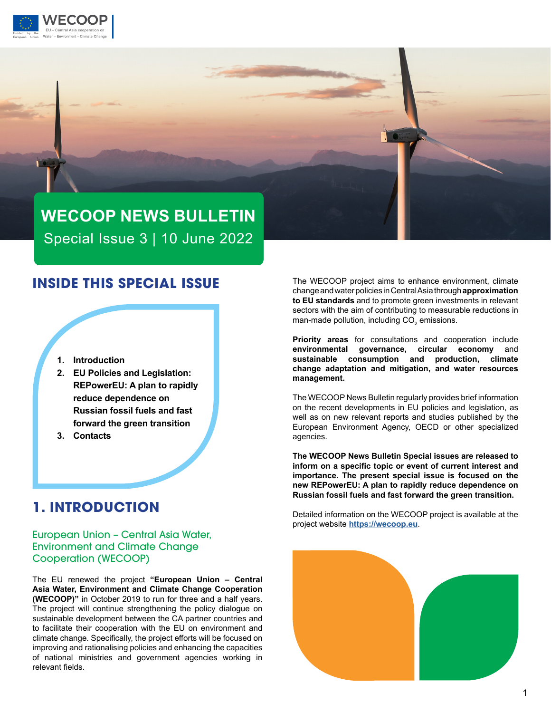



## **INSIDE THIS SPECIAL ISSUE**

- **1. Introduction**
- **2. EU Policies and Legislation: REPowerEU: A plan to rapidly reduce dependence on Russian fossil fuels and fast forward the green transition**
- **3. Contacts**

## **1. INTRODUCTION**

European Union – Central Asia Water, Environment and Climate Change Cooperation (WECOOP)

The EU renewed the project **"European Union – Central Asia Water, Environment and Climate Change Cooperation (WECOOP)"** in October 2019 to run for three and a half years. The project will continue strengthening the policy dialogue on sustainable development between the CA partner countries and to facilitate their cooperation with the EU on environment and climate change. Specifically, the project efforts will be focused on improving and rationalising policies and enhancing the capacities of national ministries and government agencies working in relevant fields.

The WECOOP project aims to enhance environment, climate change and water policies in Central Asia through **approximation to EU standards** and to promote green investments in relevant sectors with the aim of contributing to measurable reductions in man-made pollution, including CO $_{\rm _2}$  emissions.

**Priority areas** for consultations and cooperation include **environmental governance, circular economy** and **sustainable consumption and production, climate change adaptation and mitigation, and water resources management.** 

The WECOOP News Bulletin regularly provides brief information on the recent developments in EU policies and legislation, as well as on new relevant reports and studies published by the European Environment Agency, OECD or other specialized agencies.

**The WECOOP News Bulletin Special issues are released to inform on a specific topic or event of current interest and importance. The present special issue is focused on the new REPowerEU: A plan to rapidly reduce dependence on Russian fossil fuels and fast forward the green transition.**

Detailed information on the WECOOP project is available at the project website **<https://wecoop.eu>**.

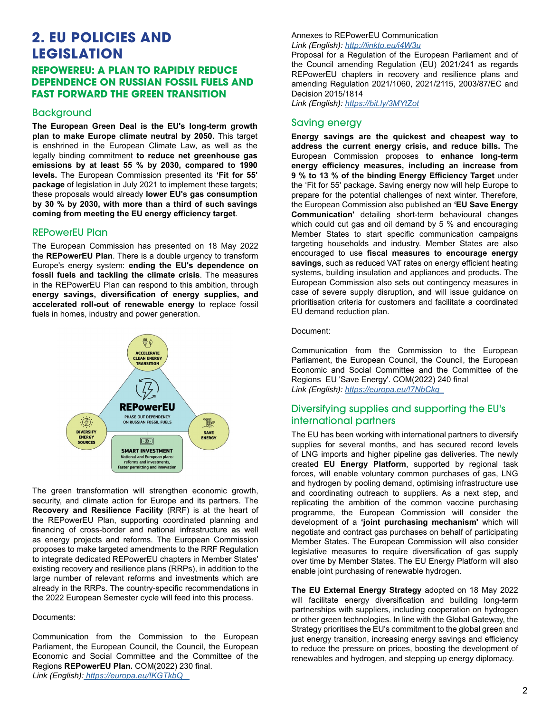# **2. EU POLICIES AND LEGISLATION**

## **REPOWEREU: A PLAN TO RAPIDLY REDUCE DEPENDENCE ON RUSSIAN FOSSIL FUELS AND FAST FORWARD THE GREEN TRANSITION**

## **Background**

**The European Green Deal is the EU's long-term growth plan to make Europe climate neutral by 2050.** This target is enshrined in the European Climate Law, as well as the legally binding commitment **to reduce net greenhouse gas emissions by at least 55 % by 2030, compared to 1990 levels.** The European Commission presented its **'Fit for 55' package** of legislation in July 2021 to implement these targets; these proposals would already **lower EU's gas consumption by 30 % by 2030, with more than a third of such savings coming from meeting the EU energy efficiency target**.

## REPowerEU Plan

The European Commission has presented on 18 May 2022 the **REPowerEU Plan**. There is a double urgency to transform Europe's energy system: **ending the EU's dependence on fossil fuels and tackling the climate crisis**. The measures in the REPowerEU Plan can respond to this ambition, through **energy savings, diversification of energy supplies, and accelerated roll-out of renewable energy** to replace fossil fuels in homes, industry and power generation.



The green transformation will strengthen economic growth, security, and climate action for Europe and its partners. The **Recovery and Resilience Facility** (RRF) is at the heart of the REPowerEU Plan, supporting coordinated planning and financing of cross-border and national infrastructure as well as energy projects and reforms. The European Commission proposes to make targeted amendments to the RRF Regulation to integrate dedicated REPowerEU chapters in Member States' existing recovery and resilience plans (RRPs), in addition to the large number of relevant reforms and investments which are already in the RRPs. The country-specific recommendations in the 2022 European Semester cycle will feed into this process.

#### Documents:

Communication from the Commission to the European Parliament, the European Council, the Council, the European Economic and Social Committee and the Committee of the Regions **REPowerEU Plan.** COM(2022) 230 final. *Link (English): <https://europa.eu/!KGTkbQ>* 

#### Annexes to REPowerEU Communication *Link (English): <http://linkto.eu/i4W3u>*

Proposal for a Regulation of the European Parliament and of the Council amending Regulation (EU) 2021/241 as regards REPowerEU chapters in recovery and resilience plans and amending Regulation 2021/1060, 2021/2115, 2003/87/EC and Decision 2015/1814

*Link (English): <https://bit.ly/3MYtZot>*

## Saving energy

**Energy savings are the quickest and cheapest way to address the current energy crisis, and reduce bills.** The European Commission proposes **to enhance long-term energy efficiency measures, including an increase from 9 % to 13 % of the binding Energy Efficiency Target** under the 'Fit for 55' package. Saving energy now will help Europe to prepare for the potential challenges of next winter. Therefore, the European Commission also published an **'EU Save Energy Communication'** detailing short-term behavioural changes which could cut gas and oil demand by 5 % and encouraging Member States to start specific communication campaigns targeting households and industry. Member States are also encouraged to use **fiscal measures to encourage energy savings**, such as reduced VAT rates on energy efficient heating systems, building insulation and appliances and products. The European Commission also sets out contingency measures in case of severe supply disruption, and will issue guidance on prioritisation criteria for customers and facilitate a coordinated EU demand reduction plan.

Document:

Communication from the Commission to the European Parliament, the European Council, the Council, the European Economic and Social Committee and the Committee of the Regions EU 'Save Energy'. COM(2022) 240 final *Link (English):<https://europa.eu/!7NbCkq>* 

## Diversifying supplies and supporting the EU's international partners

The EU has been working with international partners to diversify supplies for several months, and has secured record levels of LNG imports and higher pipeline gas deliveries. The newly created **EU Energy Platform**, supported by regional task forces, will enable voluntary common purchases of gas, LNG and hydrogen by pooling demand, optimising infrastructure use and coordinating outreach to suppliers. As a next step, and replicating the ambition of the common vaccine purchasing programme, the European Commission will consider the development of a **'joint purchasing mechanism'** which will negotiate and contract gas purchases on behalf of participating Member States. The European Commission will also consider legislative measures to require diversification of gas supply over time by Member States. The EU Energy Platform will also enable joint purchasing of renewable hydrogen.

**The EU External Energy Strategy** adopted on 18 May 2022 will facilitate energy diversification and building long-term partnerships with suppliers, including cooperation on hydrogen or other green technologies. In line with the Global Gateway, the Strategy prioritises the EU's commitment to the global green and just energy transition, increasing energy savings and efficiency to reduce the pressure on prices, boosting the development of renewables and hydrogen, and stepping up energy diplomacy.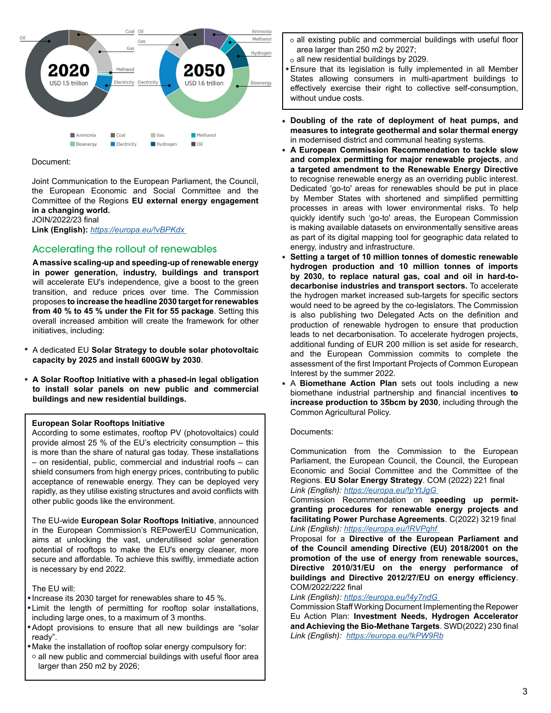

#### Document:

Joint Communication to the European Parliament, the Council, the European Economic and Social Committee and the Committee of the Regions **EU external energy engagement in a changing world.**

JOIN/2022/23 final

**Link (English):** *<https://europa.eu/!vBPKdx>*

## Accelerating the rollout of renewables

**A massive scaling-up and speeding-up of renewable energy in power generation, industry, buildings and transport** will accelerate EU's independence, give a boost to the green transition, and reduce prices over time. The Commission proposes **to increase the headline 2030 target for renewables from 40 % to 45 % under the Fit for 55 package**. Setting this overall increased ambition will create the framework for other initiatives, including:

- A dedicated EU **Solar Strategy to double solar photovoltaic capacity by 2025 and install 600GW by 2030**.
- **A Solar Rooftop Initiative with a phased-in legal obligation to install solar panels on new public and commercial buildings and new residential buildings.**

#### **European Solar Rooftops Initiative**

According to some estimates, rooftop PV (photovoltaics) could provide almost 25 % of the EU's electricity consumption - this is more than the share of natural gas today. These installations – on residential, public, commercial and industrial roofs – can shield consumers from high energy prices, contributing to public acceptance of renewable energy. They can be deployed very rapidly, as they utilise existing structures and avoid conflicts with other public goods like the environment.

The EU-wide **European Solar Rooftops Initiative**, announced in the European Commission's REPowerEU Communication, aims at unlocking the vast, underutilised solar generation potential of rooftops to make the EU's energy cleaner, more secure and affordable. To achieve this swiftly, immediate action is necessary by end 2022.

The EU will:

- Increase its 2030 target for renewables share to 45 %.
- Limit the length of permitting for rooftop solar installations, including large ones, to a maximum of 3 months.
- Adopt provisions to ensure that all new buildings are "solar ready".
- Make the installation of rooftop solar energy compulsory for:
- o all new public and commercial buildings with useful floor area larger than 250 m2 by 2026;
- all existing public and commercial buildings with useful floor area larger than 250 m2 by 2027;
- $\circ$  all new residential buildings by 2029.
- Ensure that its legislation is fully implemented in all Member States allowing consumers in multi-apartment buildings to effectively exercise their right to collective self-consumption, without undue costs.
- **Doubling of the rate of deployment of heat pumps, and measures to integrate geothermal and solar thermal energy**  in modernised district and communal heating systems.
- **A European Commission Recommendation to tackle slow and complex permitting for major renewable projects**, and **a targeted amendment to the Renewable Energy Directive** to recognise renewable energy as an overriding public interest. Dedicated 'go-to' areas for renewables should be put in place by Member States with shortened and simplified permitting processes in areas with lower environmental risks. To help quickly identify such 'go-to' areas, the European Commission is making available datasets on environmentally sensitive areas as part of its digital mapping tool for geographic data related to energy, industry and infrastructure.
- **Setting a target of 10 million tonnes of domestic renewable hydrogen production and 10 million tonnes of imports by 2030, to replace natural gas, coal and oil in hard-todecarbonise industries and transport sectors.** To accelerate the hydrogen market increased sub-targets for specific sectors would need to be agreed by the co-legislators. The Commission is also publishing two Delegated Acts on the definition and production of renewable hydrogen to ensure that production leads to net decarbonisation. To accelerate hydrogen projects, additional funding of EUR 200 million is set aside for research, and the European Commission commits to complete the assessment of the first Important Projects of Common European Interest by the summer 2022.
- A **Biomethane Action Plan** sets out tools including a new biomethane industrial partnership and financial incentives **to increase production to 35bcm by 2030**, including through the Common Agricultural Policy.

#### Documents:

Communication from the Commission to the European Parliament, the European Council, the Council, the European Economic and Social Committee and the Committee of the Regions. **EU Solar Energy Strategy**. COM (2022) 221 final *Link (English):<https://europa.eu/!pYtJgG>*

Commission Recommendation on **speeding up permitgranting procedures for renewable energy projects and facilitating Power Purchase Agreements**. C(2022) 3219 final *Link (English):<https://europa.eu/!RVPqhf>*

Proposal for a **Directive of the European Parliament and of the Council amending Directive (EU) 2018/2001 on the promotion of the use of energy from renewable sources, Directive 2010/31/EU on the energy performance of buildings and Directive 2012/27/EU on energy efficiency**. COM/2022/222 final

*Link (English):<https://europa.eu/!4y7ndG>* 

Commission Staff Working Document Implementing the Repower Eu Action Plan: **Investment Needs, Hydrogen Accelerator and Achieving the Bio-Methane Targets**. SWD(2022) 230 final *Link (English): <https://europa.eu/!kPW9Rb>*